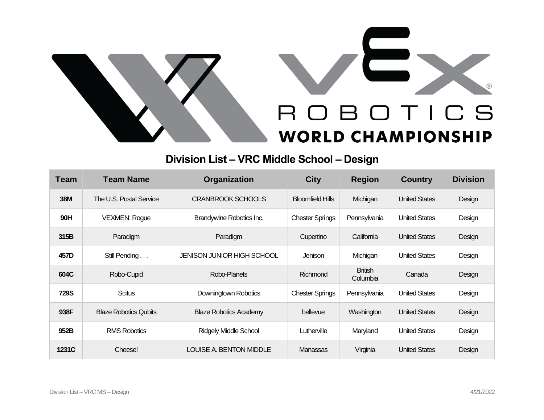



## **Division List – VRC Middle School – Design**

| <b>Team</b> | <b>Team Name</b>             | <b>Organization</b>           | <b>City</b>             | <b>Region</b>              | <b>Country</b>       | <b>Division</b> |
|-------------|------------------------------|-------------------------------|-------------------------|----------------------------|----------------------|-----------------|
| <b>38M</b>  | The U.S. Postal Service      | <b>CRANBROOK SCHOOLS</b>      | <b>Bloomfield Hills</b> | Michigan                   | <b>United States</b> | Design          |
| 90H         | <b>VEXMEN: Rogue</b>         | Brandywine Robotics Inc.      | <b>Chester Springs</b>  | Pennsylvania               | <b>United States</b> | Design          |
| 315B        | Paradigm                     | Paradigm                      | Cupertino               | California                 | <b>United States</b> | Design          |
| 457D        | Still Pending                | JENISON JUNIOR HIGH SCHOOL    | Jenison                 | Michigan                   | <b>United States</b> | Design          |
| 604C        | Robo-Cupid                   | Robo-Planets                  | Richmond                | <b>British</b><br>Columbia | Canada               | Design          |
| <b>729S</b> | <b>Scitus</b>                | Downingtown Robotics          | <b>Chester Springs</b>  | Pennsylvania               | <b>United States</b> | Design          |
| 938F        | <b>Blaze Robotics Qubits</b> | <b>Blaze Robotics Academy</b> | bellevue                | Washington                 | <b>United States</b> | Design          |
| 952B        | <b>RMS Robotics</b>          | <b>Ridgely Middle School</b>  | Lutherville             | Maryland                   | <b>United States</b> | Design          |
| 1231C       | Cheese!                      | LOUISE A. BENTON MIDDLE       | Manassas                | Virginia                   | <b>United States</b> | Design          |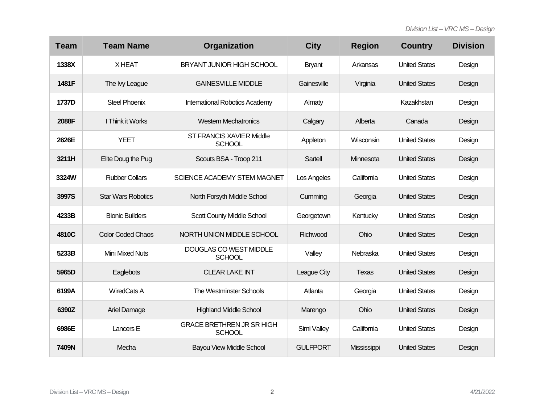| <b>Team</b> | <b>Team Name</b>          | Organization                                      | <b>City</b>     | <b>Region</b> | <b>Country</b>       | <b>Division</b> |
|-------------|---------------------------|---------------------------------------------------|-----------------|---------------|----------------------|-----------------|
| 1338X       | <b>XHEAT</b>              | <b>BRYANT JUNIOR HIGH SCHOOL</b>                  | <b>Bryant</b>   | Arkansas      | <b>United States</b> | Design          |
| 1481F       | The Ivy League            | <b>GAINESVILLE MIDDLE</b>                         | Gainesville     | Virginia      | <b>United States</b> | Design          |
| 1737D       | <b>Steel Phoenix</b>      | International Robotics Academy                    | Almaty          |               | Kazakhstan           | Design          |
| 2088F       | I Think it Works          | <b>Western Mechatronics</b>                       | Calgary         | Alberta       | Canada               | Design          |
| 2626E       | <b>YEET</b>               | ST FRANCIS XAVIER Middle<br><b>SCHOOL</b>         | Appleton        | Wisconsin     | <b>United States</b> | Design          |
| 3211H       | Elite Doug the Pug        | Scouts BSA - Troop 211                            | Sartell         | Minnesota     | <b>United States</b> | Design          |
| 3324W       | <b>Rubber Collars</b>     | <b>SCIENCE ACADEMY STEM MAGNET</b>                | Los Angeles     | California    | <b>United States</b> | Design          |
| 3997S       | <b>Star Wars Robotics</b> | North Forsyth Middle School                       | Cumming         | Georgia       | <b>United States</b> | Design          |
| 4233B       | <b>Bionic Builders</b>    | Scott County Middle School                        | Georgetown      | Kentucky      | <b>United States</b> | Design          |
| 4810C       | <b>Color Coded Chaos</b>  | NORTH UNION MIDDLE SCHOOL                         | Richwood        | Ohio          | <b>United States</b> | Design          |
| 5233B       | <b>Mini Mixed Nuts</b>    | DOUGLAS CO WEST MIDDLE<br><b>SCHOOL</b>           | Valley          | Nebraska      | <b>United States</b> | Design          |
| 5965D       | Eaglebots                 | <b>CLEAR LAKE INT</b>                             | League City     | Texas         | <b>United States</b> | Design          |
| 6199A       | <b>WiredCats A</b>        | <b>The Westminster Schools</b>                    | Atlanta         | Georgia       | <b>United States</b> | Design          |
| 6390Z       | Ariel Damage              | <b>Highland Middle School</b>                     | Marengo         | Ohio          | <b>United States</b> | Design          |
| 6986E       | Lancers E                 | <b>GRACE BRETHREN JR SR HIGH</b><br><b>SCHOOL</b> | Simi Valley     | California    | <b>United States</b> | Design          |
| 7409N       | Mecha                     | <b>Bayou View Middle School</b>                   | <b>GULFPORT</b> | Mississippi   | <b>United States</b> | Design          |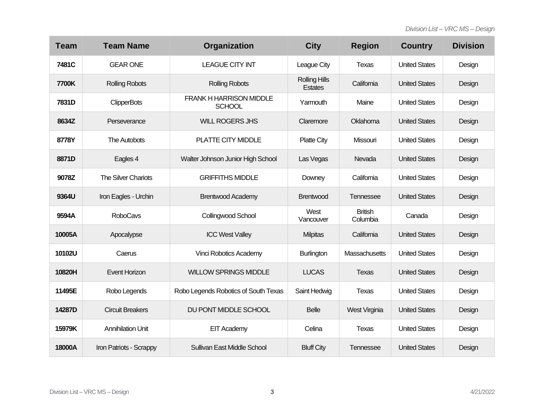| <b>Team</b> | <b>Team Name</b>         | Organization                                    | <b>City</b>                            | <b>Region</b>              | <b>Country</b>       | <b>Division</b> |
|-------------|--------------------------|-------------------------------------------------|----------------------------------------|----------------------------|----------------------|-----------------|
| 7481C       | <b>GEAR ONE</b>          | <b>LEAGUE CITY INT</b>                          | League City                            | Texas                      | <b>United States</b> | Design          |
| 7700K       | <b>Rolling Robots</b>    | <b>Rolling Robots</b>                           | <b>Rolling Hills</b><br><b>Estates</b> | California                 | <b>United States</b> | Design          |
| 7831D       | <b>ClipperBots</b>       | <b>FRANK H HARRISON MIDDLE</b><br><b>SCHOOL</b> | Yarmouth                               | Maine                      | <b>United States</b> | Design          |
| 8634Z       | Perseverance             | <b>WILL ROGERS JHS</b>                          | Claremore                              | Oklahoma                   | <b>United States</b> | Design          |
| 8778Y       | The Autobots             | PLATTE CITY MIDDLE                              | <b>Platte City</b>                     | Missouri                   | <b>United States</b> | Design          |
| 8871D       | Eagles 4                 | Walter Johnson Junior High School               | Las Vegas                              | Nevada                     | <b>United States</b> | Design          |
| 9078Z       | The Silver Chariots      | <b>GRIFFITHS MIDDLE</b>                         | Downey                                 | California                 | <b>United States</b> | Design          |
| 9364U       | Iron Eagles - Urchin     | <b>Brentwood Academy</b>                        | <b>Brentwood</b>                       | Tennessee                  | <b>United States</b> | Design          |
| 9594A       | <b>RoboCavs</b>          | Collingwood School                              | West<br>Vancouver                      | <b>British</b><br>Columbia | Canada               | Design          |
| 10005A      | Apocalypse               | <b>ICC West Valley</b>                          | <b>Milpitas</b>                        | California                 | <b>United States</b> | Design          |
| 10102U      | Caerus                   | <b>Vinci Robotics Academy</b>                   | Burlington                             | Massachusetts              | <b>United States</b> | Design          |
| 10820H      | Event Horizon            | <b>WILLOW SPRINGS MIDDLE</b>                    | <b>LUCAS</b>                           | <b>Texas</b>               | <b>United States</b> | Design          |
| 11495E      | Robo Legends             | Robo Legends Robotics of South Texas            | Saint Hedwig                           | Texas                      | <b>United States</b> | Design          |
| 14287D      | <b>Circuit Breakers</b>  | DU PONT MIDDLE SCHOOL                           | <b>Belle</b>                           | West Virginia              | <b>United States</b> | Design          |
| 15979K      | <b>Annihilation Unit</b> | <b>EIT Academy</b>                              | Celina                                 | Texas                      | <b>United States</b> | Design          |
| 18000A      | Iron Patriots - Scrappy  | Sullivan East Middle School                     | <b>Bluff City</b>                      | Tennessee                  | <b>United States</b> | Design          |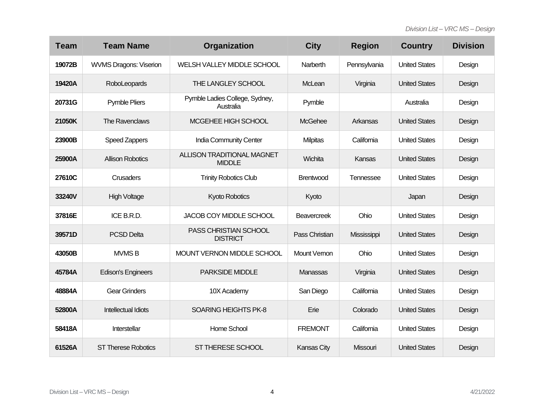| <b>Team</b> | <b>Team Name</b>              | Organization                                       | <b>City</b>        | <b>Region</b> | <b>Country</b>       | <b>Division</b> |
|-------------|-------------------------------|----------------------------------------------------|--------------------|---------------|----------------------|-----------------|
| 19072B      | <b>WVMS Dragons: Viserion</b> | WELSH VALLEY MIDDLE SCHOOL                         | Narberth           | Pennsylvania  | <b>United States</b> | Design          |
| 19420A      | RoboLeopards                  | THE LANGLEY SCHOOL                                 | McLean             | Virginia      | <b>United States</b> | Design          |
| 20731G      | <b>Pymble Pliers</b>          | Pymble Ladies College, Sydney,<br>Australia        | Pymble             |               | Australia            | Design          |
| 21050K      | The Ravenclaws                | MCGEHEE HIGH SCHOOL                                | <b>McGehee</b>     | Arkansas      | <b>United States</b> | Design          |
| 23900B      | Speed Zappers                 | India Community Center                             | <b>Milpitas</b>    | California    | <b>United States</b> | Design          |
| 25900A      | <b>Allison Robotics</b>       | <b>ALLISON TRADITIONAL MAGNET</b><br><b>MIDDLE</b> | Wichita            | Kansas        | <b>United States</b> | Design          |
| 27610C      | <b>Crusaders</b>              | <b>Trinity Robotics Club</b>                       | <b>Brentwood</b>   | Tennessee     | <b>United States</b> | Design          |
| 33240V      | <b>High Voltage</b>           | Kyoto Robotics                                     | Kyoto              |               | Japan                | Design          |
| 37816E      | ICE B.R.D.                    | JACOB COY MIDDLE SCHOOL                            | <b>Beavercreek</b> | Ohio          | <b>United States</b> | Design          |
| 39571D      | <b>PCSD Delta</b>             | PASS CHRISTIAN SCHOOL<br><b>DISTRICT</b>           | Pass Christian     | Mississippi   | <b>United States</b> | Design          |
| 43050B      | <b>MVMSB</b>                  | MOUNT VERNON MIDDLE SCHOOL                         | Mount Vernon       | Ohio          | <b>United States</b> | Design          |
| 45784A      | <b>Edison's Engineers</b>     | <b>PARKSIDE MIDDLE</b>                             | Manassas           | Virginia      | <b>United States</b> | Design          |
| 48884A      | <b>Gear Grinders</b>          | 10X Academy                                        | San Diego          | California    | <b>United States</b> | Design          |
| 52800A      | <b>Intellectual Idiots</b>    | <b>SOARING HEIGHTS PK-8</b>                        | Erie               | Colorado      | <b>United States</b> | Design          |
| 58418A      | Interstellar                  | Home School                                        | <b>FREMONT</b>     | California    | <b>United States</b> | Design          |
| 61526A      | <b>ST Therese Robotics</b>    | ST THERESE SCHOOL                                  | <b>Kansas City</b> | Missouri      | <b>United States</b> | Design          |